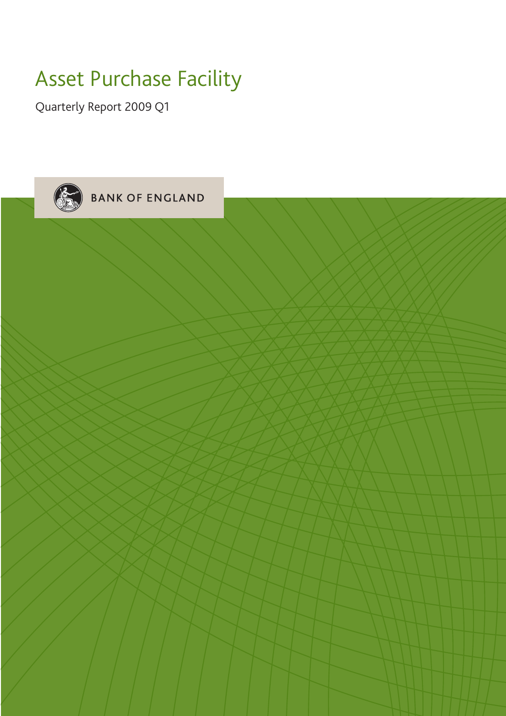## Asset Purchase Facility

Quarterly Report 2009 Q1

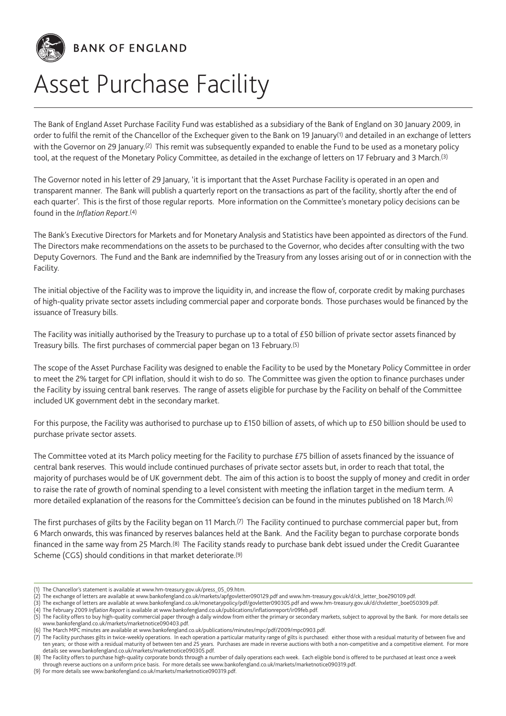

# Asset Purchase Facility

The Bank of England Asset Purchase Facility Fund was established as a subsidiary of the Bank of England on 30 January 2009, in order to fulfil the remit of the Chancellor of the Exchequer given to the Bank on 19 January<sup>(1)</sup> and detailed in an exchange of letters with the Governor on 29 January.<sup>(2)</sup> This remit was subsequently expanded to enable the Fund to be used as a monetary policy tool, at the request of the Monetary Policy Committee, as detailed in the exchange of letters on 17 February and 3 March.<sup>(3)</sup>

The Governor noted in his letter of 29 January, 'it is important that the Asset Purchase Facility is operated in an open and transparent manner. The Bank will publish a quarterly report on the transactions as part of the facility, shortly after the end of each quarter'. This is the first of those regular reports. More information on the Committee's monetary policy decisions can be found in the *Inflation Report*.(4)

The Bank's Executive Directors for Markets and for Monetary Analysis and Statistics have been appointed as directors of the Fund. The Directors make recommendations on the assets to be purchased to the Governor, who decides after consulting with the two Deputy Governors. The Fund and the Bank are indemnified by the Treasury from any losses arising out of or in connection with the Facility.

The initial objective of the Facility was to improve the liquidity in, and increase the flow of, corporate credit by making purchases of high-quality private sector assets including commercial paper and corporate bonds. Those purchases would be financed by the issuance of Treasury bills.

The Facility was initially authorised by the Treasury to purchase up to a total of £50 billion of private sector assets financed by Treasury bills. The first purchases of commercial paper began on 13 February.(5)

The scope of the Asset Purchase Facility was designed to enable the Facility to be used by the Monetary Policy Committee in order to meet the 2% target for CPI inflation, should it wish to do so. The Committee was given the option to finance purchases under the Facility by issuing central bank reserves. The range of assets eligible for purchase by the Facility on behalf of the Committee included UK government debt in the secondary market.

For this purpose, the Facility was authorised to purchase up to £150 billion of assets, of which up to £50 billion should be used to purchase private sector assets.

The Committee voted at its March policy meeting for the Facility to purchase £75 billion of assets financed by the issuance of central bank reserves. This would include continued purchases of private sector assets but, in order to reach that total, the majority of purchases would be of UK government debt. The aim of this action is to boost the supply of money and credit in order to raise the rate of growth of nominal spending to a level consistent with meeting the inflation target in the medium term. A more detailed explanation of the reasons for the Committee's decision can be found in the minutes published on 18 March.(6)

The first purchases of gilts by the Facility began on 11 March.(7) The Facility continued to purchase commercial paper but, from 6 March onwards, this was financed by reserves balances held at the Bank. And the Facility began to purchase corporate bonds financed in the same way from 25 March.(8) The Facility stands ready to purchase bank debt issued under the Credit Guarantee Scheme (CGS) should conditions in that market deteriorate.(9)

<sup>(1)</sup> The Chancellor's statement is available at www.hm-treasury.gov.uk/press\_05\_09.htm.

<sup>(2)</sup> The exchange of letters are available at www.bankofengland.co.uk/markets/apfgovletter090129.pdf and www.hm-treasury.gov.uk/d/ck\_letter\_boe290109.pdf.

<sup>(3)</sup> The exchange of letters are available at www.bankofengland.co.uk/monetarypolicy/pdf/govletter090305.pdf and www.hm-treasury.gov.uk/d/chxletter\_boe050309.pdf.

<sup>(4)</sup> The February 2009 *Inflation Report* is available at www.bankofengland.co.uk/publications/inflationreport/ir09feb.pdf.

<sup>(5)</sup> The Facility offers to buy high-quality commercial paper through a daily window from either the primary or secondary markets, subject to approval by the Bank. For more details see www.bankofengland.co.uk/markets/marketnotice090403.pdf.

<sup>(6)</sup> The March MPC minutes are available at www.bankofengland.co.uk/publications/minutes/mpc/pdf/2009/mpc0903.pdf.

<sup>(7)</sup> The Facility purchases gilts in twice-weekly operations. In each operation a particular maturity range of gilts is purchased: either those with a residual maturity of between five and ten years; or those with a residual maturity of between ten and 25 years. Purchases are made in reverse auctions with both a non-competitive and a competitive element. For more details see www.bankofengland.co.uk/markets/marketnotice090305.pdf.

<sup>(8)</sup> The Facility offers to purchase high-quality corporate bonds through a number of daily operations each week. Each eligible bond is offered to be purchased at least once a week through reverse auctions on a uniform price basis. For more details see www.bankofengland.co.uk/markets/marketnotice090319.pdf.

<sup>(9)</sup> For more details see www.bankofengland.co.uk/markets/marketnotice090319.pdf.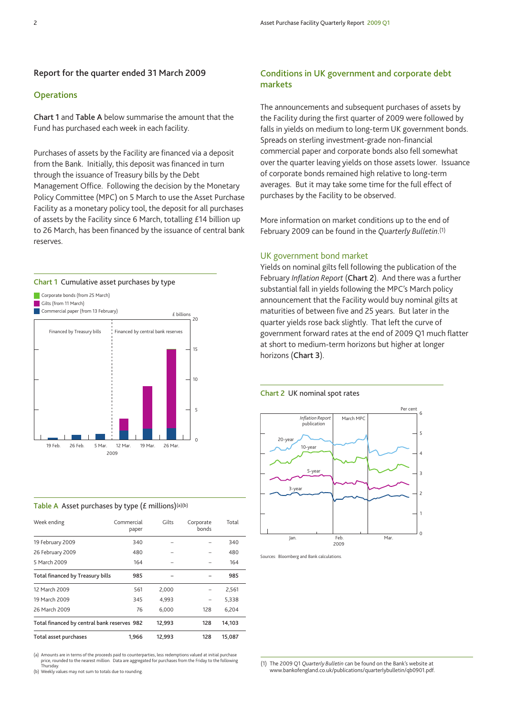## **Report for the quarter ended 31 March 2009**

#### **Operations**

**Chart 1** and **Table A** below summarise the amount that the Fund has purchased each week in each facility.

Purchases of assets by the Facility are financed via a deposit from the Bank. Initially, this deposit was financed in turn through the issuance of Treasury bills by the Debt Management Office. Following the decision by the Monetary Policy Committee (MPC) on 5 March to use the Asset Purchase Facility as a monetary policy tool, the deposit for all purchases of assets by the Facility since 6 March, totalling £14 billion up to 26 March, has been financed by the issuance of central bank reserves.

## **Chart 1** Cumulative asset purchases by type



#### **Table A** Asset purchases by type (£ millions)(a)(b)

| Week ending                                 | Commercial<br>paper | Gilts  | Corporate<br>bonds | Total  |
|---------------------------------------------|---------------------|--------|--------------------|--------|
| 19 February 2009                            | 340                 |        |                    | 340    |
| 26 February 2009                            | 480                 |        |                    | 480    |
| 5 March 2009                                | 164                 |        |                    | 164    |
| Total financed by Treasury bills            | 985                 |        |                    | 985    |
| 12 March 2009                               | 561                 | 2,000  |                    | 2,561  |
| 19 March 2009                               | 345                 | 4,993  |                    | 5,338  |
| 26 March 2009                               | 76                  | 6,000  | 128                | 6,204  |
| Total financed by central bank reserves 982 |                     | 12,993 | 128                | 14,103 |
| Total asset purchases                       | 1.966               | 12,993 | 128                | 15,087 |

(a) Amounts are in terms of the proceeds paid to counterparties, less redemptions valued at initial purchase price, rounded to the nearest million. Data are aggregated for purchases from the Friday to the following Thursday.

(b) Weekly values may not sum to totals due to rounding.

## **Conditions in UK government and corporate debt markets**

The announcements and subsequent purchases of assets by the Facility during the first quarter of 2009 were followed by falls in yields on medium to long-term UK government bonds. Spreads on sterling investment-grade non-financial commercial paper and corporate bonds also fell somewhat over the quarter leaving yields on those assets lower. Issuance of corporate bonds remained high relative to long-term averages. But it may take some time for the full effect of purchases by the Facility to be observed.

More information on market conditions up to the end of February 2009 can be found in the *Quarterly Bulletin*.(1)

## UK government bond market

Yields on nominal gilts fell following the publication of the February *Inflation Report* (**Chart 2**). And there was a further substantial fall in yields following the MPC's March policy announcement that the Facility would buy nominal gilts at maturities of between five and 25 years. But later in the quarter yields rose back slightly. That left the curve of government forward rates at the end of 2009 Q1 much flatter at short to medium-term horizons but higher at longer horizons (**Chart 3**).

#### **Chart 2** UK nominal spot rates



Sources: Bloomberg and Bank calculations.

(1) The 2009 Q1 *Quarterly Bulletin* can be found on the Bank's website at www.bankofengland.co.uk/publications/quarterlybulletin/qb0901.pdf.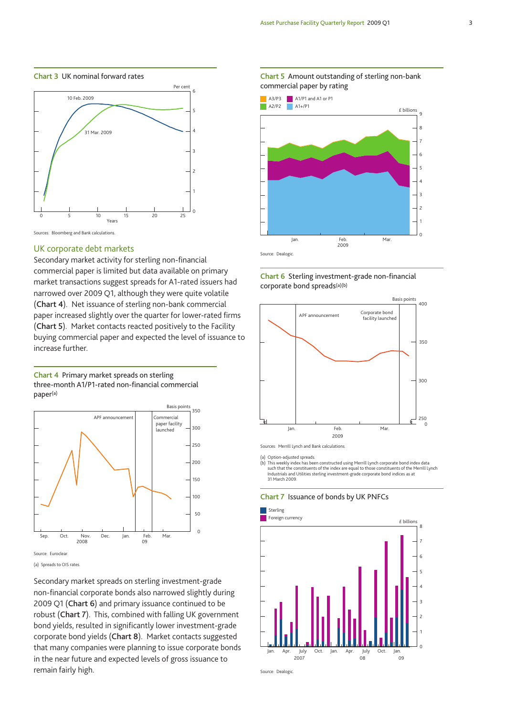**Chart 3** UK nominal forward rates





#### UK corporate debt markets

Secondary market activity for sterling non-financial commercial paper is limited but data available on primary market transactions suggest spreads for A1-rated issuers had narrowed over 2009 Q1, although they were quite volatile (**Chart 4**). Net issuance of sterling non-bank commercial paper increased slightly over the quarter for lower-rated firms (**Chart 5**). Market contacts reacted positively to the Facility buying commercial paper and expected the level of issuance to increase further.





<sup>(</sup>a) Spreads to OIS rates.

Secondary market spreads on sterling investment-grade non-financial corporate bonds also narrowed slightly during 2009 Q1 (**Chart 6**) and primary issuance continued to be robust (**Chart 7**). This, combined with falling UK government bond yields, resulted in significantly lower investment-grade corporate bond yields (**Chart 8**). Market contacts suggested that many companies were planning to issue corporate bonds in the near future and expected levels of gross issuance to remain fairly high.



**Chart 6** Sterling investment-grade non-financial corporate bond spreads(a)(b)



(a) Option-adjusted spreads.

(b) This weekly index has been constructed using Merrill Lynch corporate bond index data such that the constituents of the index are equal to those constituents of the Merrill Lynch Industrials and Utilities sterling investment-grade corporate bond indices as at 31 March 2009.

**Chart 7** Issuance of bonds by UK PNFCs